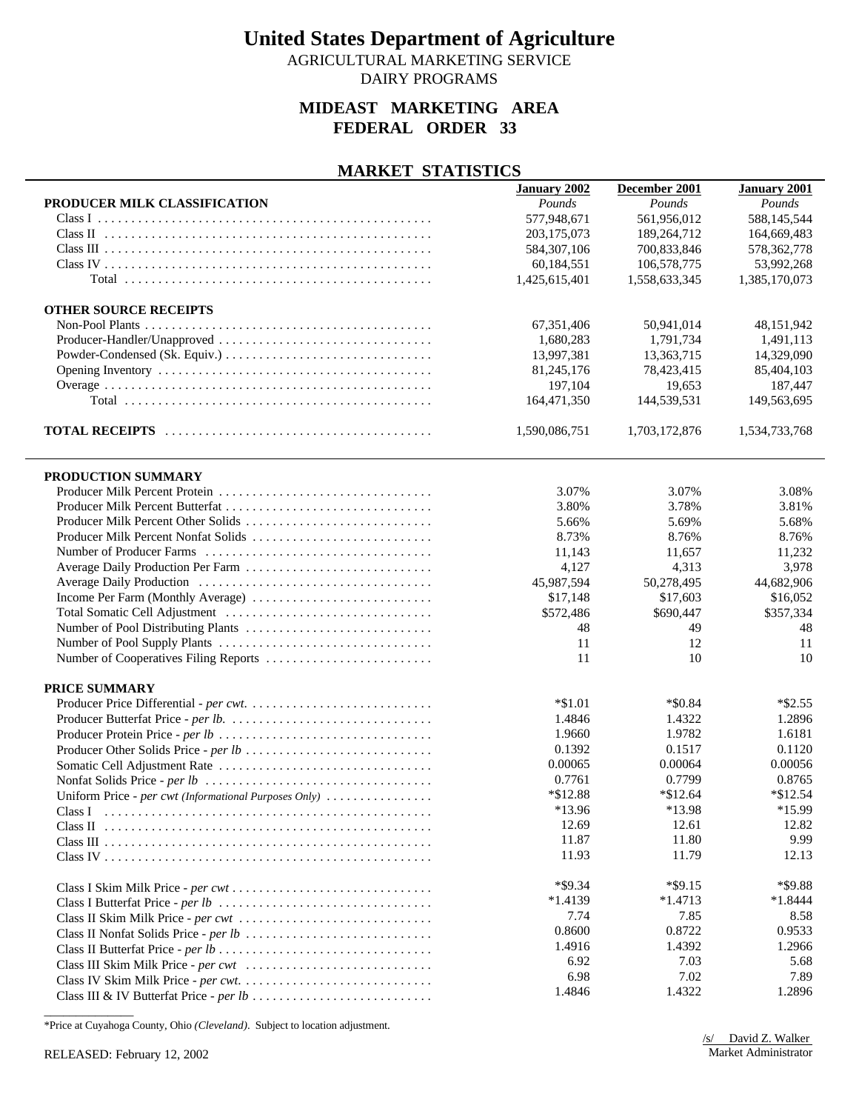AGRICULTURAL MARKETING SERVICE DAIRY PROGRAMS

### **MIDEAST MARKETING AREA FEDERAL ORDER 33**

#### **MARKET STATISTICS**

|                                                       | <b>January 2002</b> | December 2001 | <b>January 2001</b> |
|-------------------------------------------------------|---------------------|---------------|---------------------|
| PRODUCER MILK CLASSIFICATION                          | Pounds              | Pounds        | Pounds              |
|                                                       | 577,948,671         | 561,956,012   | 588,145,544         |
|                                                       | 203,175,073         | 189,264,712   | 164,669,483         |
|                                                       | 584, 307, 106       | 700,833,846   | 578, 362, 778       |
|                                                       | 60,184,551          | 106,578,775   | 53,992,268          |
|                                                       | 1,425,615,401       | 1,558,633,345 | 1,385,170,073       |
|                                                       |                     |               |                     |
| <b>OTHER SOURCE RECEIPTS</b>                          |                     |               |                     |
|                                                       | 67,351,406          | 50,941,014    | 48,151,942          |
| Producer-Handler/Unapproved                           | 1,680,283           | 1,791,734     | 1,491,113           |
|                                                       | 13,997,381          | 13,363,715    | 14,329,090          |
|                                                       | 81,245,176          | 78,423,415    | 85,404,103          |
|                                                       | 197,104             | 19,653        | 187,447             |
|                                                       | 164,471,350         | 144,539,531   | 149,563,695         |
|                                                       |                     |               |                     |
|                                                       | 1,590,086,751       | 1,703,172,876 | 1,534,733,768       |
|                                                       |                     |               |                     |
| PRODUCTION SUMMARY                                    |                     |               |                     |
| Producer Milk Percent Protein                         | 3.07%               | 3.07%         | 3.08%               |
| Producer Milk Percent Butterfat                       | 3.80%               | 3.78%         | 3.81%               |
|                                                       | 5.66%               | 5.69%         | 5.68%               |
| Producer Milk Percent Nonfat Solids                   | 8.73%               | 8.76%         | 8.76%               |
|                                                       | 11,143              | 11,657        | 11,232              |
| Average Daily Production Per Farm                     | 4,127               | 4,313         | 3,978               |
|                                                       | 45,987,594          | 50,278,495    | 44,682,906          |
| Income Per Farm (Monthly Average)                     | \$17,148            | \$17,603      | \$16,052            |
|                                                       | \$572,486           | \$690,447     | \$357,334           |
|                                                       | 48                  | 49            | 48                  |
|                                                       | 11                  | 12            | 11                  |
| Number of Cooperatives Filing Reports                 | 11                  | 10            | 10                  |
|                                                       |                     |               |                     |
| PRICE SUMMARY                                         |                     |               |                     |
|                                                       | $*\$1.01$           | $*$ \$0.84    | $*$ \$2.55          |
|                                                       | 1.4846              | 1.4322        | 1.2896              |
|                                                       | 1.9660              | 1.9782        | 1.6181              |
| Producer Other Solids Price - per lb                  | 0.1392              | 0.1517        | 0.1120              |
|                                                       | 0.00065             | 0.00064       | 0.00056             |
|                                                       | 0.7761              | 0.7799        | 0.8765              |
| Uniform Price - per cwt (Informational Purposes Only) | *\$12.88            | $*$ \$12.64   | $*$ \$12.54         |
| Class I                                               | *13.96              | *13.98        | *15.99              |
|                                                       | 12.69               | 12.61         | 12.82               |
|                                                       | 11.87               | 11.80         | 9.99                |
|                                                       | 11.93               | 11.79         | 12.13               |
|                                                       |                     |               |                     |
|                                                       | $*$ \$9.34          | $*$ \$9.15    | *\$9.88             |
|                                                       | $*1.4139$           | $*1.4713$     | $*1.8444$           |
|                                                       | 7.74                | 7.85          | 8.58                |
|                                                       | 0.8600              | 0.8722        | 0.9533              |
|                                                       | 1.4916              | 1.4392        | 1.2966              |
|                                                       | 6.92                | 7.03          | 5.68                |
|                                                       | 6.98                | 7.02          | 7.89                |
|                                                       |                     |               |                     |
|                                                       | 1.4846              | 1.4322        | 1.2896              |

\*Price at Cuyahoga County, Ohio *(Cleveland)*. Subject to location adjustment.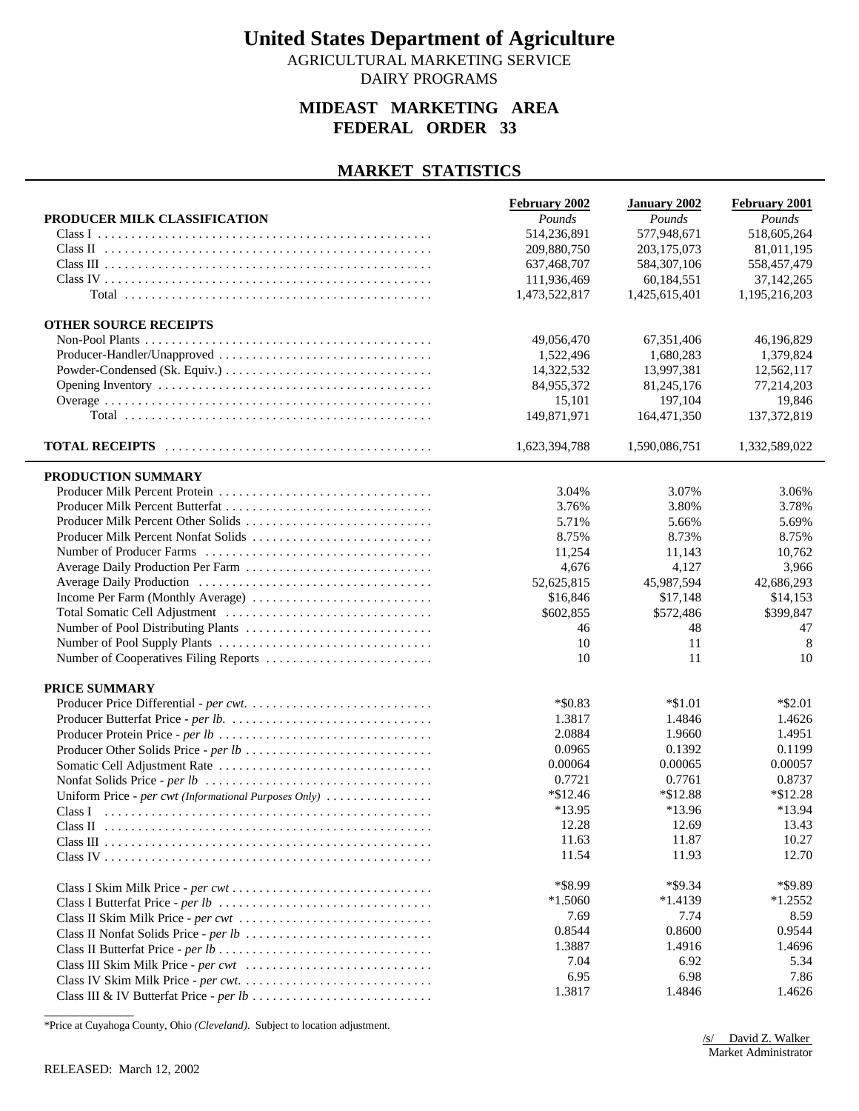AGRICULTURAL MARKETING SERVICE DAIRY PROGRAMS

### **MIDEAST MARKETING AREA FEDERAL ORDER 33**

#### **MARKET STATISTICS**

|                                                       | February 2002 | <b>January 2002</b> | <b>February 2001</b> |
|-------------------------------------------------------|---------------|---------------------|----------------------|
| PRODUCER MILK CLASSIFICATION                          | Pounds        | Pounds              | Pounds               |
|                                                       | 514,236,891   | 577,948,671         | 518,605,264          |
|                                                       | 209,880,750   | 203,175,073         | 81,011,195           |
|                                                       | 637,468,707   | 584, 307, 106       | 558,457,479          |
|                                                       | 111,936,469   | 60,184,551          | 37, 142, 265         |
|                                                       | 1,473,522,817 | 1,425,615,401       | 1,195,216,203        |
|                                                       |               |                     |                      |
| <b>OTHER SOURCE RECEIPTS</b>                          |               |                     |                      |
|                                                       | 49,056,470    | 67.351.406          | 46,196,829           |
|                                                       | 1,522,496     | 1,680,283           | 1,379,824            |
|                                                       | 14,322,532    | 13,997,381          | 12,562,117           |
|                                                       | 84,955,372    | 81,245,176          | 77,214,203           |
|                                                       | 15,101        | 197,104             | 19,846               |
|                                                       | 149,871,971   | 164,471,350         | 137, 372, 819        |
|                                                       |               |                     |                      |
|                                                       | 1,623,394,788 | 1,590,086,751       | 1,332,589,022        |
| PRODUCTION SUMMARY                                    |               |                     |                      |
|                                                       | 3.04%         | 3.07%               | 3.06%                |
|                                                       | 3.76%         | 3.80%               | 3.78%                |
| Producer Milk Percent Other Solids                    | 5.71%         | 5.66%               | 5.69%                |
| Producer Milk Percent Nonfat Solids                   | 8.75%         | 8.73%               | 8.75%                |
|                                                       |               |                     |                      |
|                                                       | 11,254        | 11,143              | 10,762               |
| Average Daily Production Per Farm                     | 4,676         | 4,127               | 3,966                |
|                                                       | 52,625,815    | 45,987,594          | 42,686,293           |
|                                                       | \$16,846      | \$17,148            | \$14,153             |
|                                                       | \$602,855     | \$572,486           | \$399,847            |
|                                                       | 46            | 48                  | 47                   |
|                                                       | 10            | 11                  | 8                    |
| Number of Cooperatives Filing Reports                 | 10            | 11                  | 10                   |
| PRICE SUMMARY                                         |               |                     |                      |
|                                                       | $*$ \$0.83    | $*\$1.01$           | $*$ \$2.01           |
|                                                       | 1.3817        | 1.4846              | 1.4626               |
|                                                       | 2.0884        | 1.9660              | 1.4951               |
|                                                       | 0.0965        | 0.1392              | 0.1199               |
|                                                       | 0.00064       | 0.00065             | 0.00057              |
|                                                       | 0.7721        | 0.7761              | 0.8737               |
| Uniform Price - per cwt (Informational Purposes Only) | $*\$12.46$    | $*\$12.88$          | $*\$12.28$           |
|                                                       | *13.95        | *13.96              | *13.94               |
|                                                       | 12.28         | 12.69               | 13.43                |
|                                                       | 11.63         | 11.87               | 10.27                |
|                                                       | 11.54         | 11.93               | 12.70                |
|                                                       |               |                     |                      |
|                                                       | *\$8.99       | $*$ \$9.34          | *\$9.89              |
|                                                       | $*1.5060$     | $*1.4139$           | $*1.2552$            |
|                                                       | 7.69          | 7.74                | 8.59                 |
|                                                       | 0.8544        | 0.8600              | 0.9544               |
|                                                       | 1.3887        | 1.4916              | 1.4696               |
| Class III Skim Milk Price - per cwt                   | 7.04          | 6.92                | 5.34                 |
|                                                       | 6.95          | 6.98                | 7.86                 |
|                                                       | 1.3817        | 1.4846              | 1.4626               |
|                                                       |               |                     |                      |

\*Price at Cuyahoga County, Ohio *(Cleveland)*. Subject to location adjustment.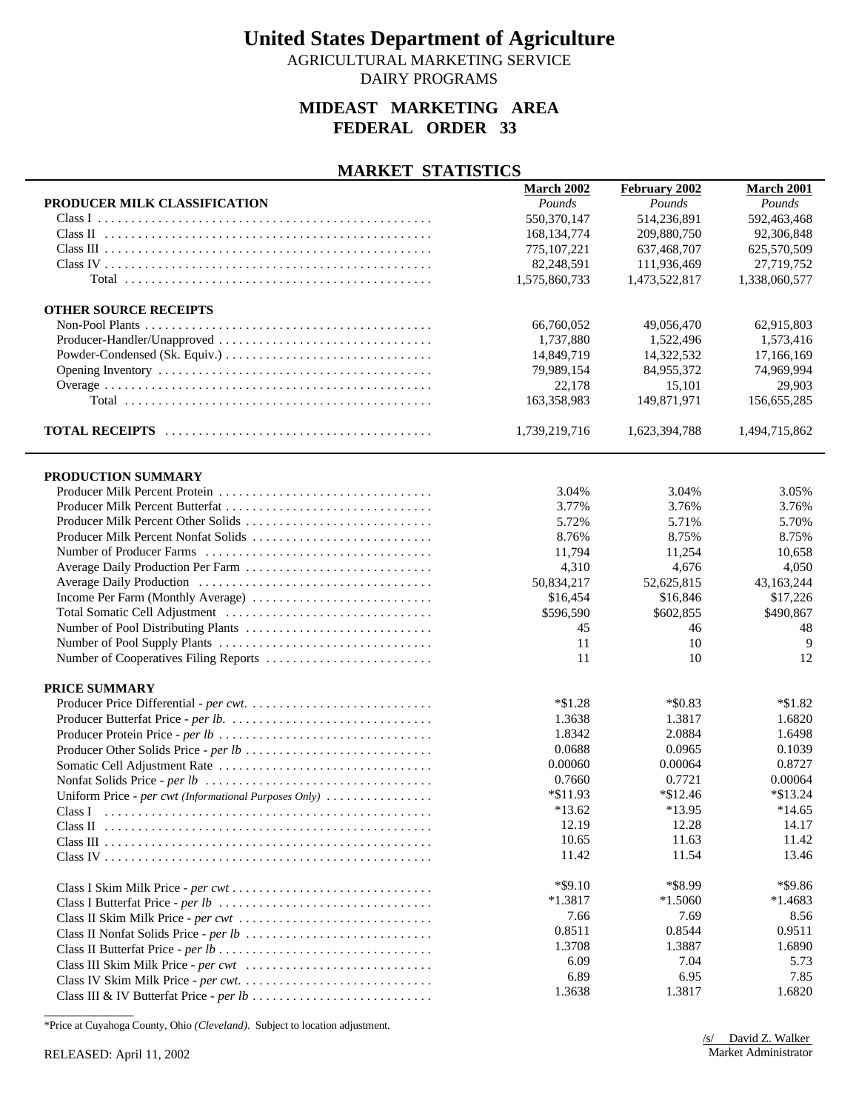AGRICULTURAL MARKETING SERVICE DAIRY PROGRAMS

### **MIDEAST MARKETING AREA FEDERAL ORDER 33**

#### **MARKET STATISTICS**

|                                                       | <b>March 2002</b> | February 2002 | March 2001    |
|-------------------------------------------------------|-------------------|---------------|---------------|
| PRODUCER MILK CLASSIFICATION                          | Pounds            | Pounds        | Pounds        |
|                                                       | 550,370,147       | 514,236,891   | 592,463,468   |
|                                                       | 168, 134, 774     | 209,880,750   | 92,306,848    |
|                                                       | 775, 107, 221     | 637,468,707   | 625,570,509   |
|                                                       | 82,248,591        | 111,936,469   | 27,719,752    |
|                                                       | 1,575,860,733     | 1,473,522,817 | 1,338,060,577 |
|                                                       |                   |               |               |
| <b>OTHER SOURCE RECEIPTS</b>                          |                   |               |               |
|                                                       | 66,760,052        | 49,056,470    | 62,915,803    |
| Producer-Handler/Unapproved                           | 1,737,880         | 1,522,496     | 1,573,416     |
|                                                       | 14,849,719        | 14,322,532    | 17,166,169    |
|                                                       | 79,989,154        | 84,955,372    | 74,969,994    |
|                                                       | 22,178            | 15,101        | 29,903        |
|                                                       | 163,358,983       | 149,871,971   | 156,655,285   |
|                                                       |                   |               |               |
|                                                       | 1,739,219,716     | 1,623,394,788 | 1,494,715,862 |
|                                                       |                   |               |               |
|                                                       |                   |               |               |
| PRODUCTION SUMMARY                                    |                   |               |               |
|                                                       | 3.04%             | 3.04%         | 3.05%         |
| Producer Milk Percent Butterfat                       | 3.77%             | 3.76%         | 3.76%         |
|                                                       | 5.72%             | 5.71%         | 5.70%         |
| Producer Milk Percent Nonfat Solids                   | 8.76%             | 8.75%         | 8.75%         |
|                                                       | 11,794            | 11,254        | 10,658        |
| Average Daily Production Per Farm                     | 4,310             | 4,676         | 4,050         |
|                                                       | 50,834,217        | 52,625,815    | 43,163,244    |
| Income Per Farm (Monthly Average)                     | \$16,454          | \$16,846      | \$17,226      |
|                                                       | \$596,590         | \$602,855     | \$490,867     |
|                                                       | 45                | 46            | 48            |
|                                                       | 11                | 10            | 9             |
| Number of Cooperatives Filing Reports                 | 11                | 10            | 12            |
|                                                       |                   |               |               |
| PRICE SUMMARY                                         |                   |               |               |
|                                                       | $*\$1.28$         | $*$ \$0.83    | $*1.82$       |
|                                                       | 1.3638            | 1.3817        | 1.6820        |
|                                                       | 1.8342            | 2.0884        | 1.6498        |
|                                                       | 0.0688            | 0.0965        | 0.1039        |
|                                                       | 0.00060           | 0.00064       | 0.8727        |
|                                                       | 0.7660            | 0.7721        | 0.00064       |
| Uniform Price - per cwt (Informational Purposes Only) | *\$11.93          | $*$ \$12.46   | $*$ \$13.24   |
| Class I                                               | $*13.62$          | *13.95        | $*14.65$      |
|                                                       | 12.19             | 12.28         | 14.17         |
|                                                       | 10.65             | 11.63         | 11.42         |
|                                                       | 11.42             | 11.54         | 13.46         |
|                                                       |                   |               |               |
|                                                       | $*$ \$9.10        | *\$8.99       | *\$9.86       |
|                                                       | $*1.3817$         | $*1.5060$     | $*1.4683$     |
|                                                       | 7.66              | 7.69          | 8.56          |
|                                                       | 0.8511            | 0.8544        | 0.9511        |
|                                                       | 1.3708            | 1.3887        | 1.6890        |
|                                                       | 6.09              | 7.04          | 5.73          |
|                                                       | 6.89              | 6.95          | 7.85          |
|                                                       | 1.3638            | 1.3817        | 1.6820        |
|                                                       |                   |               |               |

\*Price at Cuyahoga County, Ohio *(Cleveland)*. Subject to location adjustment.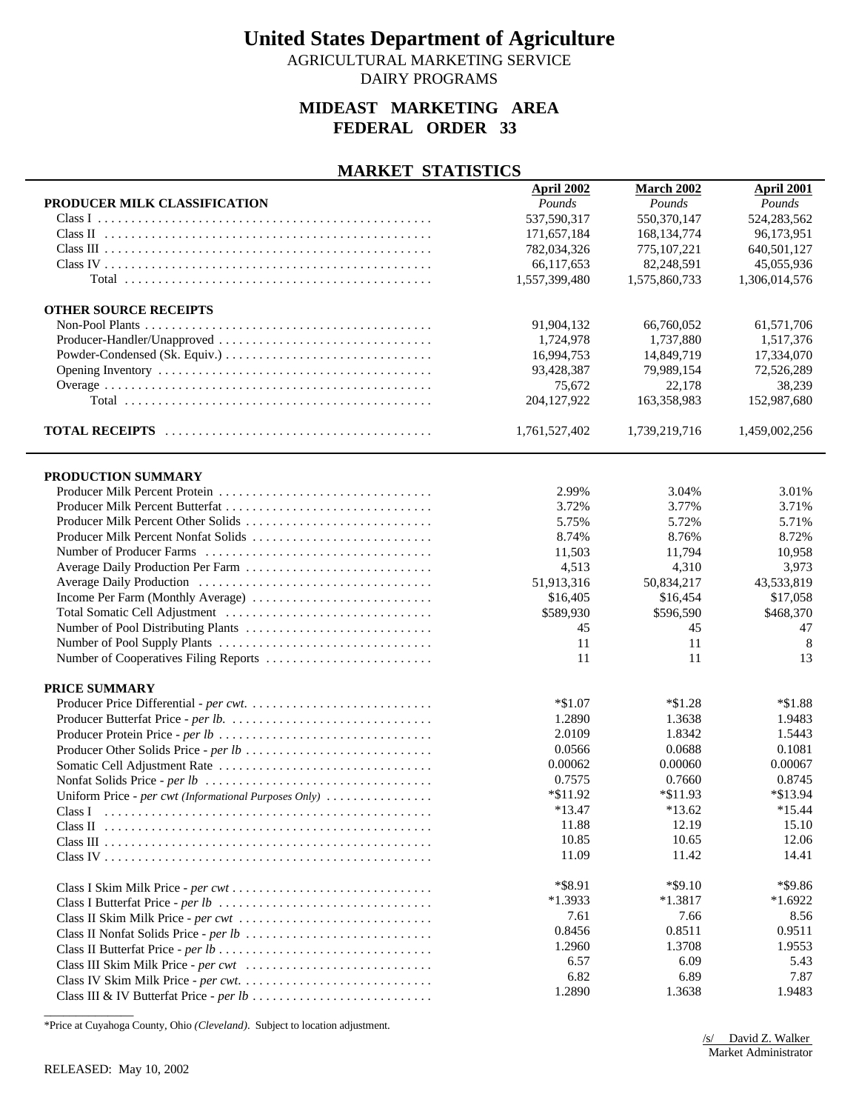AGRICULTURAL MARKETING SERVICE DAIRY PROGRAMS

## **MIDEAST MARKETING AREA FEDERAL ORDER 33**

#### **MARKET STATISTICS**

| PRODUCER MILK CLASSIFICATION<br>Pounds<br>Pounds<br>Pounds<br>537,590,317<br>550,370,147<br>524,283,562<br>171,657,184<br>168, 134, 774<br>96,173,951<br>782,034,326<br>775,107,221<br>640,501,127<br>82,248,591<br>66,117,653<br>45,055,936<br>1,557,399,480<br>1,575,860,733<br>1,306,014,576<br><b>OTHER SOURCE RECEIPTS</b><br>91,904,132<br>66,760,052<br>61,571,706<br>Producer-Handler/Unapproved<br>1,724,978<br>1,737,880<br>1,517,376<br>16,994,753<br>14,849,719<br>17,334,070<br>93,428,387<br>79,989,154<br>72,526,289<br>75,672<br>22,178<br>38,239<br>204,127,922<br>163,358,983<br>152,987,680<br>1,761,527,402<br>1,739,219,716<br>1,459,002,256<br>PRODUCTION SUMMARY<br>2.99%<br>3.04%<br>3.01%<br>3.77%<br>3.71%<br>3.72%<br>Producer Milk Percent Other Solids<br>5.75%<br>5.72%<br>5.71%<br>Producer Milk Percent Nonfat Solids<br>8.74%<br>8.76%<br>8.72%<br>11,503<br>11,794<br>10,958<br>4,513<br>4,310<br>3,973<br>51,913,316<br>43,533,819<br>50,834,217<br>\$16,405<br>\$16,454<br>\$17,058<br>\$468,370<br>\$589,930<br>\$596,590<br>45<br>45<br>47<br>11<br>11<br>8<br>11<br>11<br>13<br>PRICE SUMMARY<br>$*\$1.07$<br>$*\$1.28$<br>$*1.88$<br>1.2890<br>1.3638<br>1.9483<br>2.0109<br>1.8342<br>1.5443<br>0.0566<br>0.0688<br>0.1081<br>0.00067<br>0.00062<br>0.00060<br>0.7575<br>0.7660<br>0.8745<br>*\$11.92<br>*\$13.94<br>$*\$11.93$<br>Uniform Price - per cwt (Informational Purposes Only)<br>$*15.44$<br>$*13.47$<br>$*13.62$<br>Class L<br>12.19<br>15.10<br>11.88<br>10.85<br>10.65<br>12.06<br>11.09<br>11.42<br>14.41<br>*\$8.91<br>$*$ \$9.10<br>*\$9.86<br>$*1.3933$<br>$*1.3817$<br>$*1.6922$<br>7.61<br>7.66<br>8.56<br>0.8456<br>0.8511<br>0.9511<br>1.2960<br>1.3708<br>1.9553<br>6.57<br>6.09<br>5.43<br>6.82<br>7.87<br>6.89<br>1.2890<br>1.3638<br>1.9483 | <b>April 2002</b> | March 2002 | April 2001 |
|----------------------------------------------------------------------------------------------------------------------------------------------------------------------------------------------------------------------------------------------------------------------------------------------------------------------------------------------------------------------------------------------------------------------------------------------------------------------------------------------------------------------------------------------------------------------------------------------------------------------------------------------------------------------------------------------------------------------------------------------------------------------------------------------------------------------------------------------------------------------------------------------------------------------------------------------------------------------------------------------------------------------------------------------------------------------------------------------------------------------------------------------------------------------------------------------------------------------------------------------------------------------------------------------------------------------------------------------------------------------------------------------------------------------------------------------------------------------------------------------------------------------------------------------------------------------------------------------------------------------------------------------------------------------------------------------------------------------------------------------------------------------------------------------------------------|-------------------|------------|------------|
|                                                                                                                                                                                                                                                                                                                                                                                                                                                                                                                                                                                                                                                                                                                                                                                                                                                                                                                                                                                                                                                                                                                                                                                                                                                                                                                                                                                                                                                                                                                                                                                                                                                                                                                                                                                                                |                   |            |            |
|                                                                                                                                                                                                                                                                                                                                                                                                                                                                                                                                                                                                                                                                                                                                                                                                                                                                                                                                                                                                                                                                                                                                                                                                                                                                                                                                                                                                                                                                                                                                                                                                                                                                                                                                                                                                                |                   |            |            |
|                                                                                                                                                                                                                                                                                                                                                                                                                                                                                                                                                                                                                                                                                                                                                                                                                                                                                                                                                                                                                                                                                                                                                                                                                                                                                                                                                                                                                                                                                                                                                                                                                                                                                                                                                                                                                |                   |            |            |
|                                                                                                                                                                                                                                                                                                                                                                                                                                                                                                                                                                                                                                                                                                                                                                                                                                                                                                                                                                                                                                                                                                                                                                                                                                                                                                                                                                                                                                                                                                                                                                                                                                                                                                                                                                                                                |                   |            |            |
|                                                                                                                                                                                                                                                                                                                                                                                                                                                                                                                                                                                                                                                                                                                                                                                                                                                                                                                                                                                                                                                                                                                                                                                                                                                                                                                                                                                                                                                                                                                                                                                                                                                                                                                                                                                                                |                   |            |            |
|                                                                                                                                                                                                                                                                                                                                                                                                                                                                                                                                                                                                                                                                                                                                                                                                                                                                                                                                                                                                                                                                                                                                                                                                                                                                                                                                                                                                                                                                                                                                                                                                                                                                                                                                                                                                                |                   |            |            |
|                                                                                                                                                                                                                                                                                                                                                                                                                                                                                                                                                                                                                                                                                                                                                                                                                                                                                                                                                                                                                                                                                                                                                                                                                                                                                                                                                                                                                                                                                                                                                                                                                                                                                                                                                                                                                |                   |            |            |
|                                                                                                                                                                                                                                                                                                                                                                                                                                                                                                                                                                                                                                                                                                                                                                                                                                                                                                                                                                                                                                                                                                                                                                                                                                                                                                                                                                                                                                                                                                                                                                                                                                                                                                                                                                                                                |                   |            |            |
|                                                                                                                                                                                                                                                                                                                                                                                                                                                                                                                                                                                                                                                                                                                                                                                                                                                                                                                                                                                                                                                                                                                                                                                                                                                                                                                                                                                                                                                                                                                                                                                                                                                                                                                                                                                                                |                   |            |            |
|                                                                                                                                                                                                                                                                                                                                                                                                                                                                                                                                                                                                                                                                                                                                                                                                                                                                                                                                                                                                                                                                                                                                                                                                                                                                                                                                                                                                                                                                                                                                                                                                                                                                                                                                                                                                                |                   |            |            |
|                                                                                                                                                                                                                                                                                                                                                                                                                                                                                                                                                                                                                                                                                                                                                                                                                                                                                                                                                                                                                                                                                                                                                                                                                                                                                                                                                                                                                                                                                                                                                                                                                                                                                                                                                                                                                |                   |            |            |
|                                                                                                                                                                                                                                                                                                                                                                                                                                                                                                                                                                                                                                                                                                                                                                                                                                                                                                                                                                                                                                                                                                                                                                                                                                                                                                                                                                                                                                                                                                                                                                                                                                                                                                                                                                                                                |                   |            |            |
|                                                                                                                                                                                                                                                                                                                                                                                                                                                                                                                                                                                                                                                                                                                                                                                                                                                                                                                                                                                                                                                                                                                                                                                                                                                                                                                                                                                                                                                                                                                                                                                                                                                                                                                                                                                                                |                   |            |            |
|                                                                                                                                                                                                                                                                                                                                                                                                                                                                                                                                                                                                                                                                                                                                                                                                                                                                                                                                                                                                                                                                                                                                                                                                                                                                                                                                                                                                                                                                                                                                                                                                                                                                                                                                                                                                                |                   |            |            |
|                                                                                                                                                                                                                                                                                                                                                                                                                                                                                                                                                                                                                                                                                                                                                                                                                                                                                                                                                                                                                                                                                                                                                                                                                                                                                                                                                                                                                                                                                                                                                                                                                                                                                                                                                                                                                |                   |            |            |
|                                                                                                                                                                                                                                                                                                                                                                                                                                                                                                                                                                                                                                                                                                                                                                                                                                                                                                                                                                                                                                                                                                                                                                                                                                                                                                                                                                                                                                                                                                                                                                                                                                                                                                                                                                                                                |                   |            |            |
|                                                                                                                                                                                                                                                                                                                                                                                                                                                                                                                                                                                                                                                                                                                                                                                                                                                                                                                                                                                                                                                                                                                                                                                                                                                                                                                                                                                                                                                                                                                                                                                                                                                                                                                                                                                                                |                   |            |            |
|                                                                                                                                                                                                                                                                                                                                                                                                                                                                                                                                                                                                                                                                                                                                                                                                                                                                                                                                                                                                                                                                                                                                                                                                                                                                                                                                                                                                                                                                                                                                                                                                                                                                                                                                                                                                                |                   |            |            |
|                                                                                                                                                                                                                                                                                                                                                                                                                                                                                                                                                                                                                                                                                                                                                                                                                                                                                                                                                                                                                                                                                                                                                                                                                                                                                                                                                                                                                                                                                                                                                                                                                                                                                                                                                                                                                |                   |            |            |
|                                                                                                                                                                                                                                                                                                                                                                                                                                                                                                                                                                                                                                                                                                                                                                                                                                                                                                                                                                                                                                                                                                                                                                                                                                                                                                                                                                                                                                                                                                                                                                                                                                                                                                                                                                                                                |                   |            |            |
|                                                                                                                                                                                                                                                                                                                                                                                                                                                                                                                                                                                                                                                                                                                                                                                                                                                                                                                                                                                                                                                                                                                                                                                                                                                                                                                                                                                                                                                                                                                                                                                                                                                                                                                                                                                                                |                   |            |            |
|                                                                                                                                                                                                                                                                                                                                                                                                                                                                                                                                                                                                                                                                                                                                                                                                                                                                                                                                                                                                                                                                                                                                                                                                                                                                                                                                                                                                                                                                                                                                                                                                                                                                                                                                                                                                                |                   |            |            |
|                                                                                                                                                                                                                                                                                                                                                                                                                                                                                                                                                                                                                                                                                                                                                                                                                                                                                                                                                                                                                                                                                                                                                                                                                                                                                                                                                                                                                                                                                                                                                                                                                                                                                                                                                                                                                |                   |            |            |
|                                                                                                                                                                                                                                                                                                                                                                                                                                                                                                                                                                                                                                                                                                                                                                                                                                                                                                                                                                                                                                                                                                                                                                                                                                                                                                                                                                                                                                                                                                                                                                                                                                                                                                                                                                                                                |                   |            |            |
|                                                                                                                                                                                                                                                                                                                                                                                                                                                                                                                                                                                                                                                                                                                                                                                                                                                                                                                                                                                                                                                                                                                                                                                                                                                                                                                                                                                                                                                                                                                                                                                                                                                                                                                                                                                                                |                   |            |            |
|                                                                                                                                                                                                                                                                                                                                                                                                                                                                                                                                                                                                                                                                                                                                                                                                                                                                                                                                                                                                                                                                                                                                                                                                                                                                                                                                                                                                                                                                                                                                                                                                                                                                                                                                                                                                                |                   |            |            |
|                                                                                                                                                                                                                                                                                                                                                                                                                                                                                                                                                                                                                                                                                                                                                                                                                                                                                                                                                                                                                                                                                                                                                                                                                                                                                                                                                                                                                                                                                                                                                                                                                                                                                                                                                                                                                |                   |            |            |
|                                                                                                                                                                                                                                                                                                                                                                                                                                                                                                                                                                                                                                                                                                                                                                                                                                                                                                                                                                                                                                                                                                                                                                                                                                                                                                                                                                                                                                                                                                                                                                                                                                                                                                                                                                                                                |                   |            |            |
|                                                                                                                                                                                                                                                                                                                                                                                                                                                                                                                                                                                                                                                                                                                                                                                                                                                                                                                                                                                                                                                                                                                                                                                                                                                                                                                                                                                                                                                                                                                                                                                                                                                                                                                                                                                                                |                   |            |            |
|                                                                                                                                                                                                                                                                                                                                                                                                                                                                                                                                                                                                                                                                                                                                                                                                                                                                                                                                                                                                                                                                                                                                                                                                                                                                                                                                                                                                                                                                                                                                                                                                                                                                                                                                                                                                                |                   |            |            |
|                                                                                                                                                                                                                                                                                                                                                                                                                                                                                                                                                                                                                                                                                                                                                                                                                                                                                                                                                                                                                                                                                                                                                                                                                                                                                                                                                                                                                                                                                                                                                                                                                                                                                                                                                                                                                |                   |            |            |
|                                                                                                                                                                                                                                                                                                                                                                                                                                                                                                                                                                                                                                                                                                                                                                                                                                                                                                                                                                                                                                                                                                                                                                                                                                                                                                                                                                                                                                                                                                                                                                                                                                                                                                                                                                                                                |                   |            |            |
|                                                                                                                                                                                                                                                                                                                                                                                                                                                                                                                                                                                                                                                                                                                                                                                                                                                                                                                                                                                                                                                                                                                                                                                                                                                                                                                                                                                                                                                                                                                                                                                                                                                                                                                                                                                                                |                   |            |            |
|                                                                                                                                                                                                                                                                                                                                                                                                                                                                                                                                                                                                                                                                                                                                                                                                                                                                                                                                                                                                                                                                                                                                                                                                                                                                                                                                                                                                                                                                                                                                                                                                                                                                                                                                                                                                                |                   |            |            |
|                                                                                                                                                                                                                                                                                                                                                                                                                                                                                                                                                                                                                                                                                                                                                                                                                                                                                                                                                                                                                                                                                                                                                                                                                                                                                                                                                                                                                                                                                                                                                                                                                                                                                                                                                                                                                |                   |            |            |
|                                                                                                                                                                                                                                                                                                                                                                                                                                                                                                                                                                                                                                                                                                                                                                                                                                                                                                                                                                                                                                                                                                                                                                                                                                                                                                                                                                                                                                                                                                                                                                                                                                                                                                                                                                                                                |                   |            |            |
|                                                                                                                                                                                                                                                                                                                                                                                                                                                                                                                                                                                                                                                                                                                                                                                                                                                                                                                                                                                                                                                                                                                                                                                                                                                                                                                                                                                                                                                                                                                                                                                                                                                                                                                                                                                                                |                   |            |            |
|                                                                                                                                                                                                                                                                                                                                                                                                                                                                                                                                                                                                                                                                                                                                                                                                                                                                                                                                                                                                                                                                                                                                                                                                                                                                                                                                                                                                                                                                                                                                                                                                                                                                                                                                                                                                                |                   |            |            |
|                                                                                                                                                                                                                                                                                                                                                                                                                                                                                                                                                                                                                                                                                                                                                                                                                                                                                                                                                                                                                                                                                                                                                                                                                                                                                                                                                                                                                                                                                                                                                                                                                                                                                                                                                                                                                |                   |            |            |
|                                                                                                                                                                                                                                                                                                                                                                                                                                                                                                                                                                                                                                                                                                                                                                                                                                                                                                                                                                                                                                                                                                                                                                                                                                                                                                                                                                                                                                                                                                                                                                                                                                                                                                                                                                                                                |                   |            |            |
|                                                                                                                                                                                                                                                                                                                                                                                                                                                                                                                                                                                                                                                                                                                                                                                                                                                                                                                                                                                                                                                                                                                                                                                                                                                                                                                                                                                                                                                                                                                                                                                                                                                                                                                                                                                                                |                   |            |            |
|                                                                                                                                                                                                                                                                                                                                                                                                                                                                                                                                                                                                                                                                                                                                                                                                                                                                                                                                                                                                                                                                                                                                                                                                                                                                                                                                                                                                                                                                                                                                                                                                                                                                                                                                                                                                                |                   |            |            |
|                                                                                                                                                                                                                                                                                                                                                                                                                                                                                                                                                                                                                                                                                                                                                                                                                                                                                                                                                                                                                                                                                                                                                                                                                                                                                                                                                                                                                                                                                                                                                                                                                                                                                                                                                                                                                |                   |            |            |
|                                                                                                                                                                                                                                                                                                                                                                                                                                                                                                                                                                                                                                                                                                                                                                                                                                                                                                                                                                                                                                                                                                                                                                                                                                                                                                                                                                                                                                                                                                                                                                                                                                                                                                                                                                                                                |                   |            |            |
|                                                                                                                                                                                                                                                                                                                                                                                                                                                                                                                                                                                                                                                                                                                                                                                                                                                                                                                                                                                                                                                                                                                                                                                                                                                                                                                                                                                                                                                                                                                                                                                                                                                                                                                                                                                                                |                   |            |            |
|                                                                                                                                                                                                                                                                                                                                                                                                                                                                                                                                                                                                                                                                                                                                                                                                                                                                                                                                                                                                                                                                                                                                                                                                                                                                                                                                                                                                                                                                                                                                                                                                                                                                                                                                                                                                                |                   |            |            |
|                                                                                                                                                                                                                                                                                                                                                                                                                                                                                                                                                                                                                                                                                                                                                                                                                                                                                                                                                                                                                                                                                                                                                                                                                                                                                                                                                                                                                                                                                                                                                                                                                                                                                                                                                                                                                |                   |            |            |
|                                                                                                                                                                                                                                                                                                                                                                                                                                                                                                                                                                                                                                                                                                                                                                                                                                                                                                                                                                                                                                                                                                                                                                                                                                                                                                                                                                                                                                                                                                                                                                                                                                                                                                                                                                                                                |                   |            |            |
|                                                                                                                                                                                                                                                                                                                                                                                                                                                                                                                                                                                                                                                                                                                                                                                                                                                                                                                                                                                                                                                                                                                                                                                                                                                                                                                                                                                                                                                                                                                                                                                                                                                                                                                                                                                                                |                   |            |            |
|                                                                                                                                                                                                                                                                                                                                                                                                                                                                                                                                                                                                                                                                                                                                                                                                                                                                                                                                                                                                                                                                                                                                                                                                                                                                                                                                                                                                                                                                                                                                                                                                                                                                                                                                                                                                                |                   |            |            |
|                                                                                                                                                                                                                                                                                                                                                                                                                                                                                                                                                                                                                                                                                                                                                                                                                                                                                                                                                                                                                                                                                                                                                                                                                                                                                                                                                                                                                                                                                                                                                                                                                                                                                                                                                                                                                |                   |            |            |
|                                                                                                                                                                                                                                                                                                                                                                                                                                                                                                                                                                                                                                                                                                                                                                                                                                                                                                                                                                                                                                                                                                                                                                                                                                                                                                                                                                                                                                                                                                                                                                                                                                                                                                                                                                                                                |                   |            |            |
|                                                                                                                                                                                                                                                                                                                                                                                                                                                                                                                                                                                                                                                                                                                                                                                                                                                                                                                                                                                                                                                                                                                                                                                                                                                                                                                                                                                                                                                                                                                                                                                                                                                                                                                                                                                                                |                   |            |            |

\*Price at Cuyahoga County, Ohio *(Cleveland)*. Subject to location adjustment.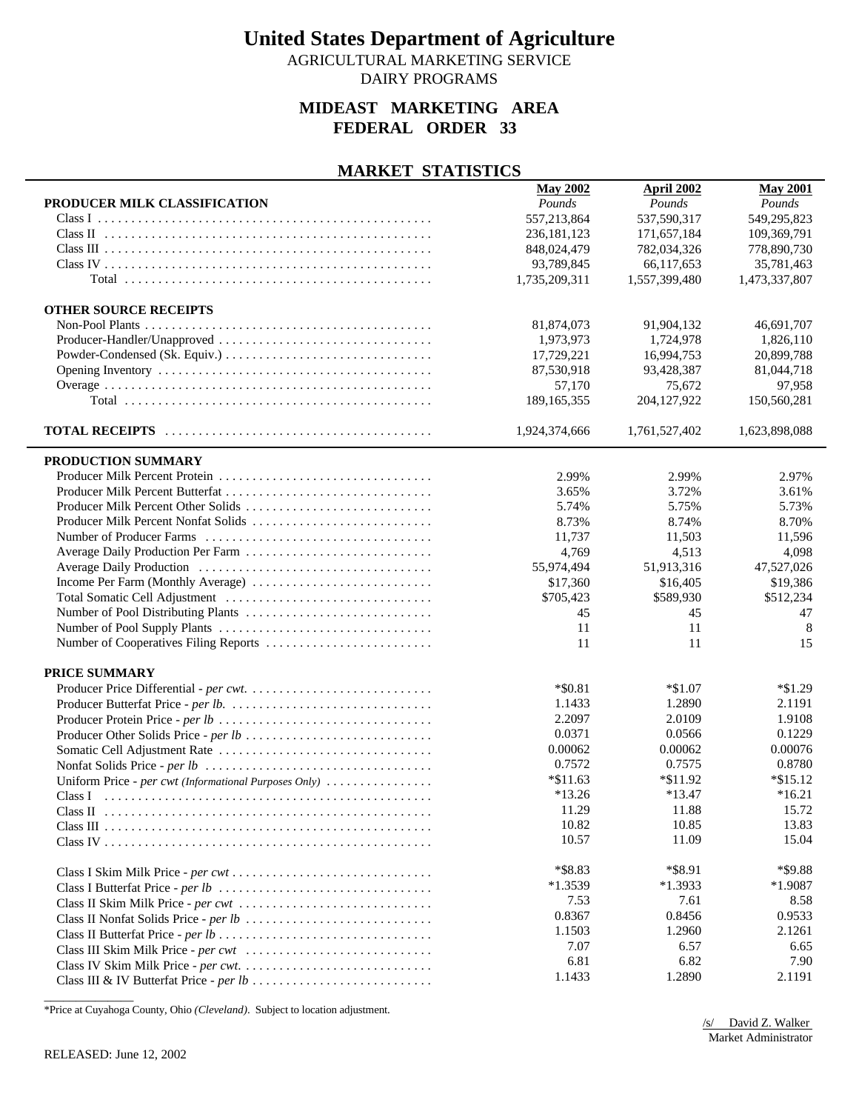AGRICULTURAL MARKETING SERVICE

## DAIRY PROGRAMS

#### **MIDEAST MARKETING AREA FEDERAL ORDER 33**

#### **MARKET STATISTICS**

|                                                       | <b>May 2002</b> | <b>April 2002</b> | <b>May 2001</b> |
|-------------------------------------------------------|-----------------|-------------------|-----------------|
| PRODUCER MILK CLASSIFICATION                          | Pounds          | Pounds            | Pounds          |
|                                                       | 557,213,864     | 537,590,317       | 549,295,823     |
|                                                       | 236, 181, 123   | 171,657,184       | 109,369,791     |
|                                                       | 848,024,479     | 782,034,326       | 778,890,730     |
|                                                       | 93,789,845      | 66,117,653        | 35,781,463      |
|                                                       | 1,735,209,311   | 1,557,399,480     | 1,473,337,807   |
|                                                       |                 |                   |                 |
| <b>OTHER SOURCE RECEIPTS</b>                          |                 |                   |                 |
|                                                       | 81,874,073      | 91,904,132        | 46,691,707      |
| Producer-Handler/Unapproved                           | 1,973,973       | 1,724,978         | 1,826,110       |
|                                                       | 17,729,221      | 16.994.753        | 20,899,788      |
|                                                       |                 |                   | 81,044,718      |
|                                                       | 87,530,918      | 93,428,387        |                 |
|                                                       | 57,170          | 75,672            | 97,958          |
|                                                       | 189, 165, 355   | 204,127,922       | 150,560,281     |
|                                                       | 1,924,374,666   | 1,761,527,402     | 1,623,898,088   |
|                                                       |                 |                   |                 |
| PRODUCTION SUMMARY                                    |                 |                   |                 |
|                                                       | 2.99%           | 2.99%             | 2.97%           |
| Producer Milk Percent Butterfat                       | 3.65%           | 3.72%             | 3.61%           |
|                                                       | 5.74%           | 5.75%             | 5.73%           |
| Producer Milk Percent Nonfat Solids                   | 8.73%           | 8.74%             | 8.70%           |
|                                                       | 11,737          | 11,503            | 11,596          |
| Average Daily Production Per Farm                     | 4,769           | 4,513             | 4,098           |
|                                                       | 55,974,494      | 51,913,316        | 47,527,026      |
|                                                       | \$17,360        | \$16,405          | \$19,386        |
|                                                       | \$705,423       | \$589,930         | \$512,234       |
|                                                       | 45              | 45                | 47              |
|                                                       | 11              | 11                | 8               |
| Number of Cooperatives Filing Reports                 | 11              | 11                | 15              |
| PRICE SUMMARY                                         |                 |                   |                 |
|                                                       | $*$ \$0.81      | $*\$1.07$         | $*1.29$         |
|                                                       | 1.1433          | 1.2890            | 2.1191          |
|                                                       | 2.2097          | 2.0109            | 1.9108          |
|                                                       | 0.0371          |                   |                 |
|                                                       | 0.00062         | 0.0566            | 0.1229          |
|                                                       | 0.7572          | 0.00062           | 0.00076         |
|                                                       |                 | 0.7575            | 0.8780          |
| Uniform Price - per cwt (Informational Purposes Only) | $*\$11.63$      | $*\$11.92$        | $*\$15.12$      |
| Class I                                               | $*13.26$        | $*13.47$          | $*16.21$        |
| Class <sub>II</sub>                                   | 11.29           | 11.88             | 15.72           |
|                                                       | 10.82           | 10.85             | 13.83           |
|                                                       | 10.57           | 11.09             | 15.04           |
|                                                       | *\$8.83         | *\$8.91           | *\$9.88         |
|                                                       | $*1.3539$       | $*1.3933$         | $*1.9087$       |
|                                                       | 7.53            | 7.61              | 8.58            |
|                                                       | 0.8367          | 0.8456            | 0.9533          |
|                                                       | 1.1503          | 1.2960            | 2.1261          |
|                                                       | 7.07            | 6.57              | 6.65            |
|                                                       | 6.81            | 6.82              | 7.90            |
|                                                       | 1.1433          | 1.2890            | 2.1191          |
|                                                       |                 |                   |                 |

\*Price at Cuyahoga County, Ohio *(Cleveland)*. Subject to location adjustment.

/s/ David Z. Walker Market Administrator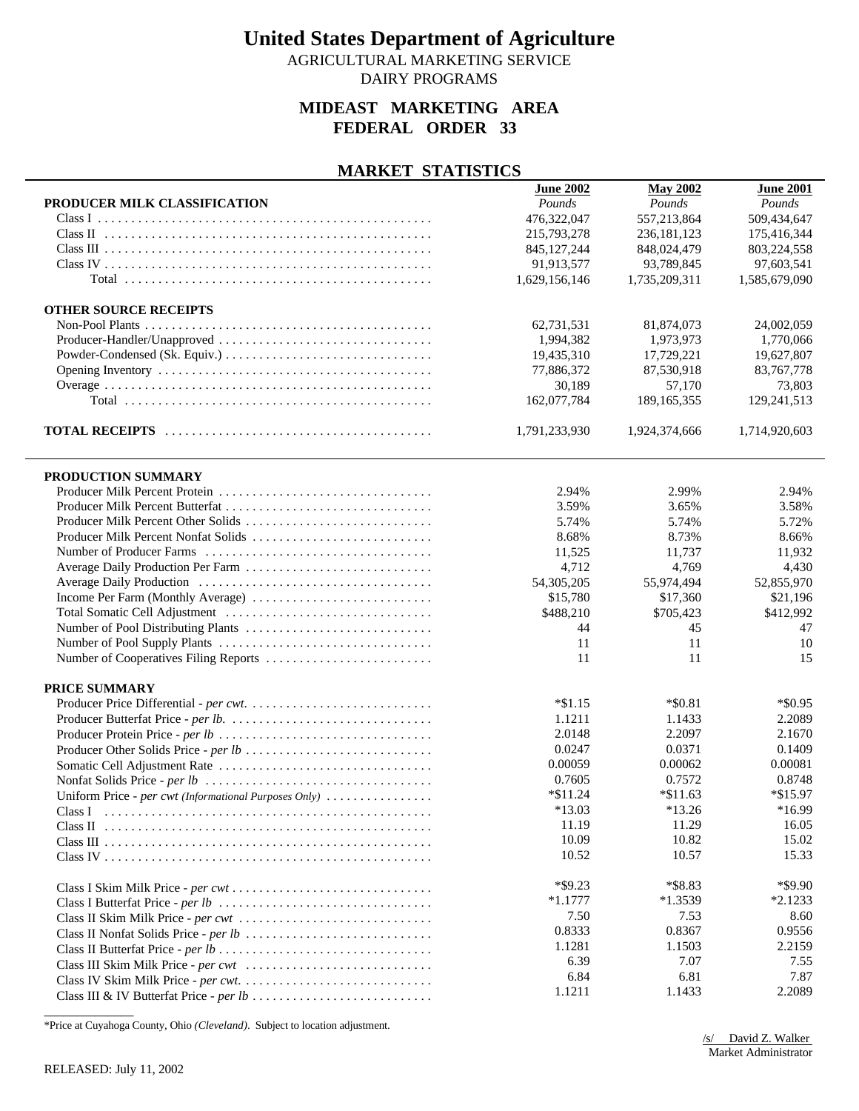AGRICULTURAL MARKETING SERVICE DAIRY PROGRAMS

## **MIDEAST MARKETING AREA FEDERAL ORDER 33**

#### **MARKET STATISTICS**

|                                                       | <b>June 2002</b> | <b>May 2002</b> | <b>June 2001</b> |
|-------------------------------------------------------|------------------|-----------------|------------------|
| PRODUCER MILK CLASSIFICATION                          | Pounds           | Pounds          | Pounds           |
|                                                       | 476,322,047      | 557,213,864     | 509,434,647      |
|                                                       | 215,793,278      | 236, 181, 123   | 175,416,344      |
|                                                       | 845, 127, 244    | 848,024,479     | 803,224,558      |
|                                                       | 91,913,577       | 93,789,845      | 97,603,541       |
|                                                       | 1,629,156,146    | 1,735,209,311   | 1,585,679,090    |
|                                                       |                  |                 |                  |
| <b>OTHER SOURCE RECEIPTS</b>                          |                  |                 |                  |
|                                                       | 62,731,531       | 81,874,073      | 24,002,059       |
| Producer-Handler/Unapproved                           | 1,994,382        | 1,973,973       | 1,770,066        |
|                                                       | 19,435,310       | 17,729,221      | 19,627,807       |
|                                                       | 77,886,372       | 87,530,918      | 83,767,778       |
|                                                       | 30,189           | 57,170          | 73,803           |
|                                                       | 162,077,784      | 189, 165, 355   | 129,241,513      |
|                                                       |                  |                 |                  |
|                                                       | 1,791,233,930    | 1,924,374,666   | 1,714,920,603    |
|                                                       |                  |                 |                  |
| PRODUCTION SUMMARY                                    |                  |                 |                  |
| Producer Milk Percent Protein                         | 2.94%            | 2.99%           | 2.94%            |
| Producer Milk Percent Butterfat                       | 3.59%            | 3.65%           | 3.58%            |
| Producer Milk Percent Other Solids                    | 5.74%            | 5.74%           | 5.72%            |
| Producer Milk Percent Nonfat Solids                   | 8.68%            | 8.73%           | 8.66%            |
|                                                       | 11,525           | 11,737          | 11,932           |
| Average Daily Production Per Farm                     |                  |                 |                  |
|                                                       | 4,712            | 4,769           | 4,430            |
|                                                       | 54,305,205       | 55,974,494      | 52,855,970       |
| Income Per Farm (Monthly Average)                     | \$15,780         | \$17,360        | \$21,196         |
|                                                       | \$488,210        | \$705,423       | \$412,992        |
|                                                       | 44               | 45              | 47               |
|                                                       | 11               | 11              | 10               |
| Number of Cooperatives Filing Reports                 | 11               | 11              | 15               |
| PRICE SUMMARY                                         |                  |                 |                  |
|                                                       | $*\$1.15$        | $*$ \$0.81      | $*$ \$0.95       |
|                                                       | 1.1211           | 1.1433          | 2.2089           |
|                                                       | 2.0148           | 2.2097          | 2.1670           |
|                                                       | 0.0247           | 0.0371          | 0.1409           |
| Producer Other Solids Price - per lb                  | 0.00059          | 0.00062         | 0.00081          |
|                                                       |                  |                 |                  |
|                                                       | 0.7605           | 0.7572          | 0.8748           |
| Uniform Price - per cwt (Informational Purposes Only) | $*$ \$11.24      | $*$ \$11.63     | *\$15.97         |
| Class I                                               | $*13.03$         | $*13.26$        | $*16.99$         |
|                                                       | 11.19            | 11.29           | 16.05            |
|                                                       | 10.09            | 10.82           | 15.02            |
|                                                       | 10.52            | 10.57           | 15.33            |
|                                                       | $*$ \$9.23       | *\$8.83         | $*$ \$9.90       |
|                                                       | $*1.1777$        | $*1.3539$       | $*2.1233$        |
|                                                       | 7.50             | 7.53            | 8.60             |
|                                                       | 0.8333           | 0.8367          | 0.9556           |
|                                                       |                  |                 |                  |
|                                                       | 1.1281           | 1.1503          | 2.2159           |
|                                                       | 6.39             | 7.07            | 7.55             |
|                                                       | 6.84             | 6.81            | 7.87             |
|                                                       | 1.1211           | 1.1433          | 2.2089           |

\*Price at Cuyahoga County, Ohio *(Cleveland)*. Subject to location adjustment.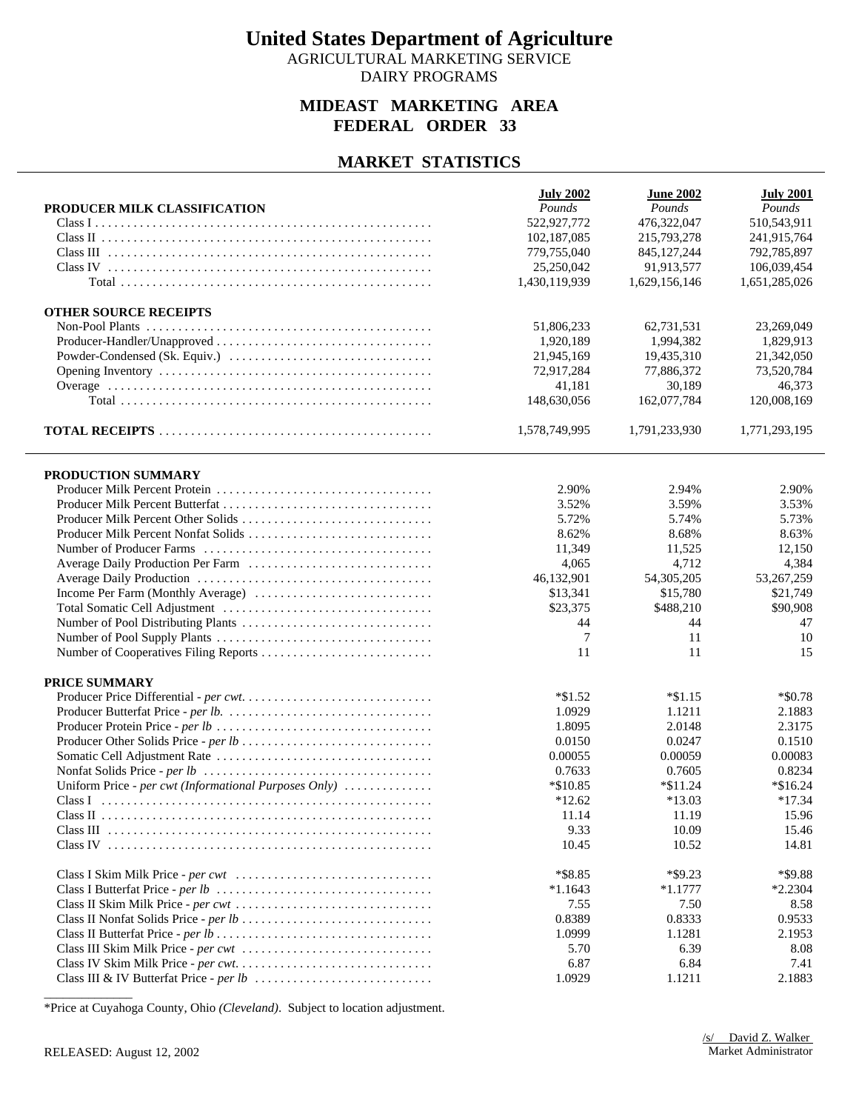AGRICULTURAL MARKETING SERVICE DAIRY PROGRAMS

### **MIDEAST MARKETING AREA FEDERAL ORDER 33**

### **MARKET STATISTICS**

|                                                       | <b>July 2002</b> | <b>June 2002</b> | <b>July 2001</b> |
|-------------------------------------------------------|------------------|------------------|------------------|
| PRODUCER MILK CLASSIFICATION                          | Pounds           | Pounds           | Pounds           |
|                                                       | 522,927,772      | 476,322,047      | 510,543,911      |
|                                                       | 102,187,085      | 215,793,278      | 241,915,764      |
|                                                       | 779,755,040      | 845,127,244      | 792,785,897      |
|                                                       | 25,250,042       | 91,913,577       | 106,039,454      |
|                                                       | 1,430,119,939    | 1,629,156,146    | 1,651,285,026    |
| <b>OTHER SOURCE RECEIPTS</b>                          |                  |                  |                  |
|                                                       | 51,806,233       | 62,731,531       | 23,269,049       |
|                                                       | 1,920,189        | 1,994,382        | 1,829,913        |
|                                                       | 21,945,169       | 19,435,310       | 21,342,050       |
|                                                       | 72,917,284       | 77,886,372       | 73,520,784       |
|                                                       | 41,181           | 30,189           | 46,373           |
|                                                       | 148,630,056      | 162,077,784      | 120,008,169      |
|                                                       | 1,578,749,995    | 1,791,233,930    | 1,771,293,195    |
| PRODUCTION SUMMARY                                    |                  |                  |                  |
|                                                       | 2.90%            | 2.94%            | 2.90%            |
|                                                       | 3.52%            | 3.59%            | 3.53%            |
| Producer Milk Percent Other Solids                    | 5.72%            | 5.74%            | 5.73%            |
| Producer Milk Percent Nonfat Solids                   | 8.62%            | 8.68%            | 8.63%            |
|                                                       | 11,349           | 11,525           | 12,150           |
| Average Daily Production Per Farm                     | 4,065            | 4,712            | 4,384            |
|                                                       | 46,132,901       | 54,305,205       | 53,267,259       |
|                                                       | \$13,341         | \$15,780         | \$21,749         |
|                                                       | \$23,375         | \$488,210        | \$90,908         |
|                                                       | 44               | 44               | 47               |
|                                                       | 7                | 11               | 10               |
|                                                       | 11               | 11               | 15               |
| PRICE SUMMARY                                         |                  |                  |                  |
|                                                       | $*\$1.52$        | $*\$1.15$        | $*$ \$0.78       |
|                                                       | 1.0929           | 1.1211           | 2.1883           |
|                                                       | 1.8095           | 2.0148           | 2.3175           |
|                                                       | 0.0150           | 0.0247           | 0.1510           |
|                                                       | 0.00055          | 0.00059          | 0.00083          |
|                                                       | 0.7633           | 0.7605           | 0.8234           |
| Uniform Price - per cwt (Informational Purposes Only) | $*\$10.85$       | $*\$11.24$       | $*$ \$16.24      |
|                                                       | $*12.62$         | $*13.03$         | $*17.34$         |
|                                                       | 11.14            | 11.19            | 15.96            |
|                                                       | 9.33             | 10.09            | 15.46            |
|                                                       | 10.45            | 10.52            | 14.81            |
|                                                       | *\$8.85          | $*$ \$9.23       | *\$9.88          |
|                                                       | $*1.1643$        | $*1.1777$        | $*2.2304$        |
|                                                       | 7.55             | 7.50             | 8.58             |
|                                                       | 0.8389           | 0.8333           | 0.9533           |
|                                                       | 1.0999           | 1.1281           | 2.1953           |
|                                                       | 5.70             | 6.39             | 8.08             |
|                                                       | 6.87             | 6.84             | 7.41             |
|                                                       | 1.0929           | 1.1211           | 2.1883           |

\*Price at Cuyahoga County, Ohio *(Cleveland)*. Subject to location adjustment.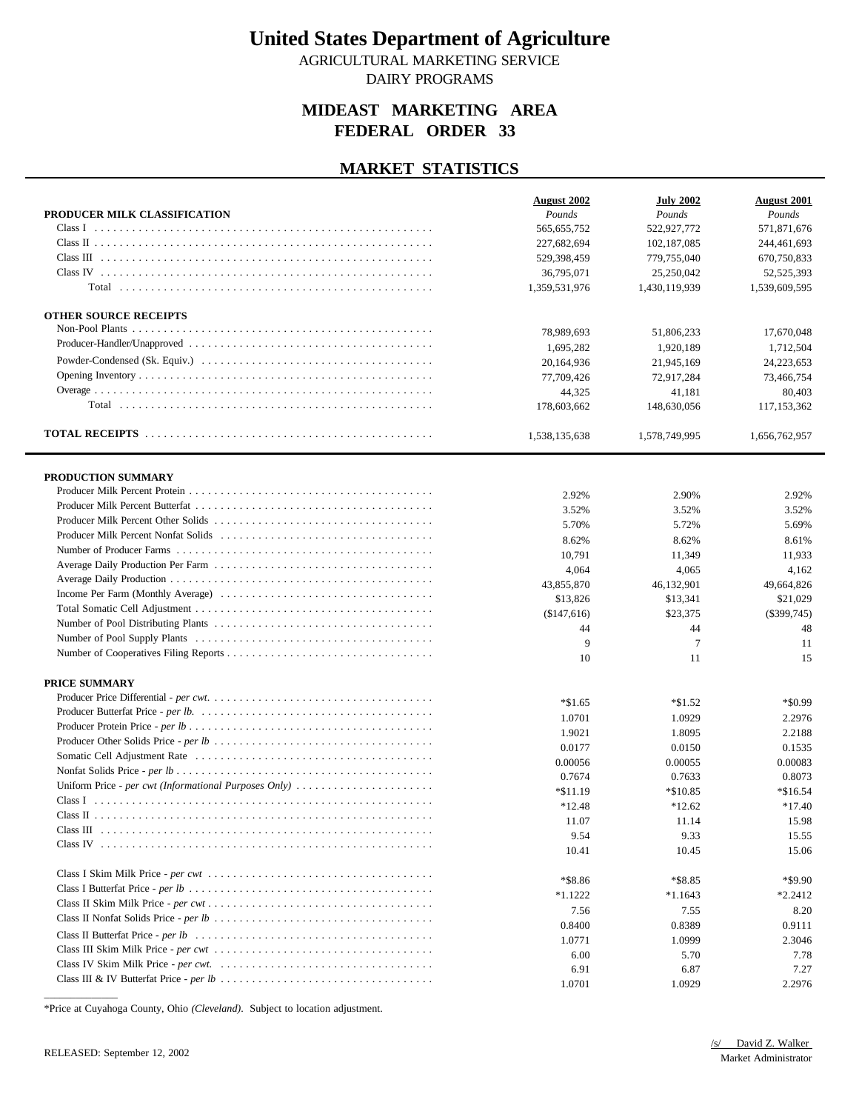AGRICULTURAL MARKETING SERVICE DAIRY PROGRAMS

## **MIDEAST MARKETING AREA FEDERAL ORDER 33**

#### **MARKET STATISTICS**

|                                                                                                                               | August 2002   | <b>July 2002</b> | <b>August 2001</b> |
|-------------------------------------------------------------------------------------------------------------------------------|---------------|------------------|--------------------|
| PRODUCER MILK CLASSIFICATION                                                                                                  | Pounds        | Pounds           | Pounds             |
| Class I                                                                                                                       | 565,655,752   | 522,927,772      | 571,871,676        |
|                                                                                                                               | 227,682,694   | 102, 187, 085    | 244,461,693        |
|                                                                                                                               | 529,398,459   | 779,755,040      | 670,750,833        |
|                                                                                                                               | 36,795,071    | 25,250,042       | 52,525,393         |
|                                                                                                                               | 1,359,531,976 | 1,430,119,939    | 1,539,609,595      |
| <b>OTHER SOURCE RECEIPTS</b>                                                                                                  |               |                  |                    |
|                                                                                                                               | 78,989,693    | 51,806,233       | 17,670,048         |
|                                                                                                                               | 1,695,282     | 1,920,189        | 1.712.504          |
|                                                                                                                               | 20,164,936    | 21,945,169       | 24,223,653         |
|                                                                                                                               | 77,709,426    | 72,917,284       | 73,466,754         |
|                                                                                                                               | 44,325        | 41,181           | 80,403             |
|                                                                                                                               | 178,603,662   | 148,630,056      | 117,153,362        |
|                                                                                                                               | 1,538,135,638 | 1,578,749,995    | 1,656,762,957      |
|                                                                                                                               |               |                  |                    |
| PRODUCTION SUMMARY                                                                                                            |               |                  |                    |
|                                                                                                                               | 2.92%         | 2.90%            | 2.92%              |
|                                                                                                                               | 3.52%         | 3.52%            | 3.52%              |
|                                                                                                                               | 5.70%         | 5.72%            | 5.69%              |
|                                                                                                                               | 8.62%         | 8.62%            | 8.61%              |
|                                                                                                                               | 10,791        | 11,349           | 11,933             |
|                                                                                                                               | 4,064         | 4,065            | 4,162              |
|                                                                                                                               | 43,855,870    | 46,132,901       | 49,664,826         |
|                                                                                                                               | \$13,826      | \$13,341         | \$21,029           |
|                                                                                                                               | (\$147,616)   | \$23,375         | $(\$399,745)$      |
|                                                                                                                               | 44            | 44               | 48                 |
|                                                                                                                               | 9             | $\tau$           | 11                 |
|                                                                                                                               | 10            | 11               | 15                 |
| <b>PRICE SUMMARY</b>                                                                                                          |               |                  |                    |
|                                                                                                                               | $*1.65$       | $*1.52$          | $*$ \$0.99         |
|                                                                                                                               | 1.0701        | 1.0929           | 2.2976             |
|                                                                                                                               | 1.9021        | 1.8095           | 2.2188             |
|                                                                                                                               | 0.0177        | 0.0150           | 0.1535             |
|                                                                                                                               | 0.00056       | 0.00055          | 0.00083            |
|                                                                                                                               | 0.7674        | 0.7633           | 0.8073             |
|                                                                                                                               | $*\$11.19$    | *\$10.85         | $*\$16.54$         |
|                                                                                                                               | $*12.48$      | $*12.62$         | $*17.40$           |
|                                                                                                                               | 11.07         | 11.14            | 15.98              |
|                                                                                                                               | 9.54          | 9.33             | 15.55              |
|                                                                                                                               | 10.41         | 10.45            | 15.06              |
|                                                                                                                               | $*$ \$8.86    | $*$ \$8.85       | *\$9.90            |
| Class I Butterfat Price - per $lb \ldots \ldots \ldots \ldots \ldots \ldots \ldots \ldots \ldots \ldots \ldots \ldots \ldots$ | $*1.1222$     | $*1.1643$        | $*2.2412$          |
|                                                                                                                               | 7.56          | 7.55             | 8.20               |
|                                                                                                                               | 0.8400        | 0.8389           | 0.9111             |
|                                                                                                                               | 1.0771        | 1.0999           | 2.3046             |
|                                                                                                                               | 6.00          | 5.70             | 7.78               |
|                                                                                                                               | 6.91          | 6.87             | 7.27               |
|                                                                                                                               | 1.0701        | 1.0929           | 2.2976             |

\*Price at Cuyahoga County, Ohio *(Cleveland)*. Subject to location adjustment.

 $\overline{\phantom{a}}$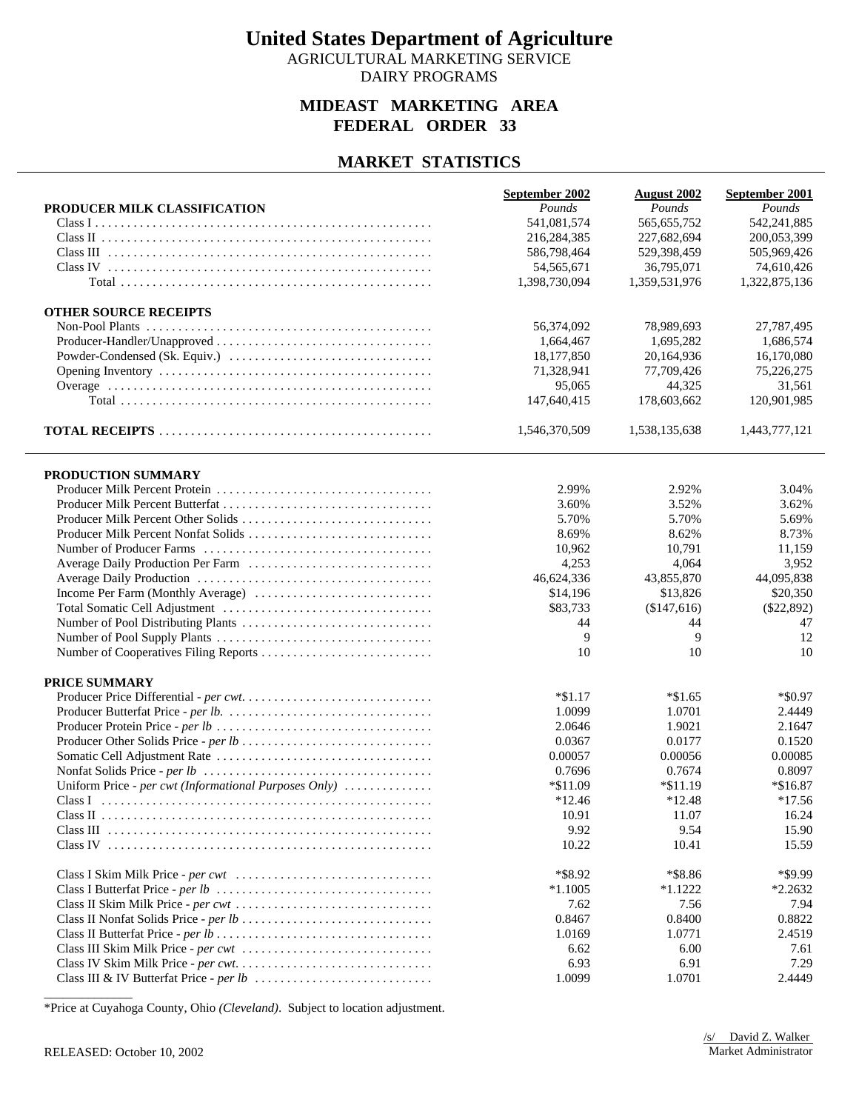AGRICULTURAL MARKETING SERVICE DAIRY PROGRAMS

### **MIDEAST MARKETING AREA FEDERAL ORDER 33**

### **MARKET STATISTICS**

|                                                       | September 2002 | <b>August 2002</b> | September 2001 |
|-------------------------------------------------------|----------------|--------------------|----------------|
| PRODUCER MILK CLASSIFICATION                          | Pounds         | Pounds             | Pounds         |
|                                                       | 541,081,574    | 565,655,752        | 542,241,885    |
|                                                       | 216,284,385    | 227,682,694        | 200,053,399    |
|                                                       | 586,798,464    | 529,398,459        | 505,969,426    |
|                                                       | 54, 565, 671   | 36,795,071         | 74,610,426     |
|                                                       | 1,398,730,094  | 1,359,531,976      | 1,322,875,136  |
| <b>OTHER SOURCE RECEIPTS</b>                          |                |                    |                |
|                                                       | 56,374,092     | 78,989,693         | 27,787,495     |
|                                                       | 1,664,467      | 1,695,282          | 1,686,574      |
|                                                       | 18,177,850     | 20,164,936         | 16,170,080     |
|                                                       | 71,328,941     | 77,709,426         | 75,226,275     |
|                                                       | 95,065         | 44,325             | 31,561         |
|                                                       | 147,640,415    | 178,603,662        | 120,901,985    |
|                                                       | 1,546,370,509  | 1,538,135,638      | 1,443,777,121  |
| PRODUCTION SUMMARY                                    |                |                    |                |
|                                                       | 2.99%          | 2.92%              | 3.04%          |
|                                                       | 3.60%          | 3.52%              | 3.62%          |
| Producer Milk Percent Other Solids                    | 5.70%          | 5.70%              | 5.69%          |
| Producer Milk Percent Nonfat Solids                   | 8.69%          | 8.62%              | 8.73%          |
|                                                       | 10,962         | 10,791             | 11,159         |
|                                                       | 4,253          | 4,064              | 3,952          |
|                                                       | 46,624,336     | 43,855,870         | 44,095,838     |
|                                                       | \$14,196       | \$13,826           | \$20,350       |
|                                                       | \$83,733       | (\$147,616)        | $(\$22,892)$   |
|                                                       | 44             | 44                 | 47             |
|                                                       | 9              | 9                  | 12             |
|                                                       | 10             | 10                 | 10             |
| PRICE SUMMARY                                         |                |                    |                |
|                                                       | $*\$1.17$      | $*\$1.65$          | $*$ \$0.97     |
|                                                       | 1.0099         | 1.0701             | 2.4449         |
|                                                       | 2.0646         | 1.9021             | 2.1647         |
|                                                       | 0.0367         | 0.0177             | 0.1520         |
|                                                       | 0.00057        | 0.00056            | 0.00085        |
|                                                       | 0.7696         | 0.7674             | 0.8097         |
| Uniform Price - per cwt (Informational Purposes Only) | *\$11.09       | $*$ \$11.19        | $*\$16.87$     |
|                                                       | $*12.46$       | $*12.48$           | $*17.56$       |
|                                                       | 10.91          | 11.07              | 16.24          |
|                                                       | 9.92           | 9.54               | 15.90          |
|                                                       | 10.22          | 10.41              | 15.59          |
|                                                       | *\$8.92        | *\$8.86            | *\$9.99        |
|                                                       | $*1.1005$      | $*1.1222$          | $*2.2632$      |
|                                                       | 7.62           | 7.56               | 7.94           |
|                                                       | 0.8467         | 0.8400             | 0.8822         |
|                                                       | 1.0169         | 1.0771             | 2.4519         |
|                                                       | 6.62           | 6.00               | 7.61<br>7.29   |
|                                                       | 6.93<br>1.0099 | 6.91<br>1.0701     | 2.4449         |
|                                                       |                |                    |                |

\*Price at Cuyahoga County, Ohio *(Cleveland)*. Subject to location adjustment.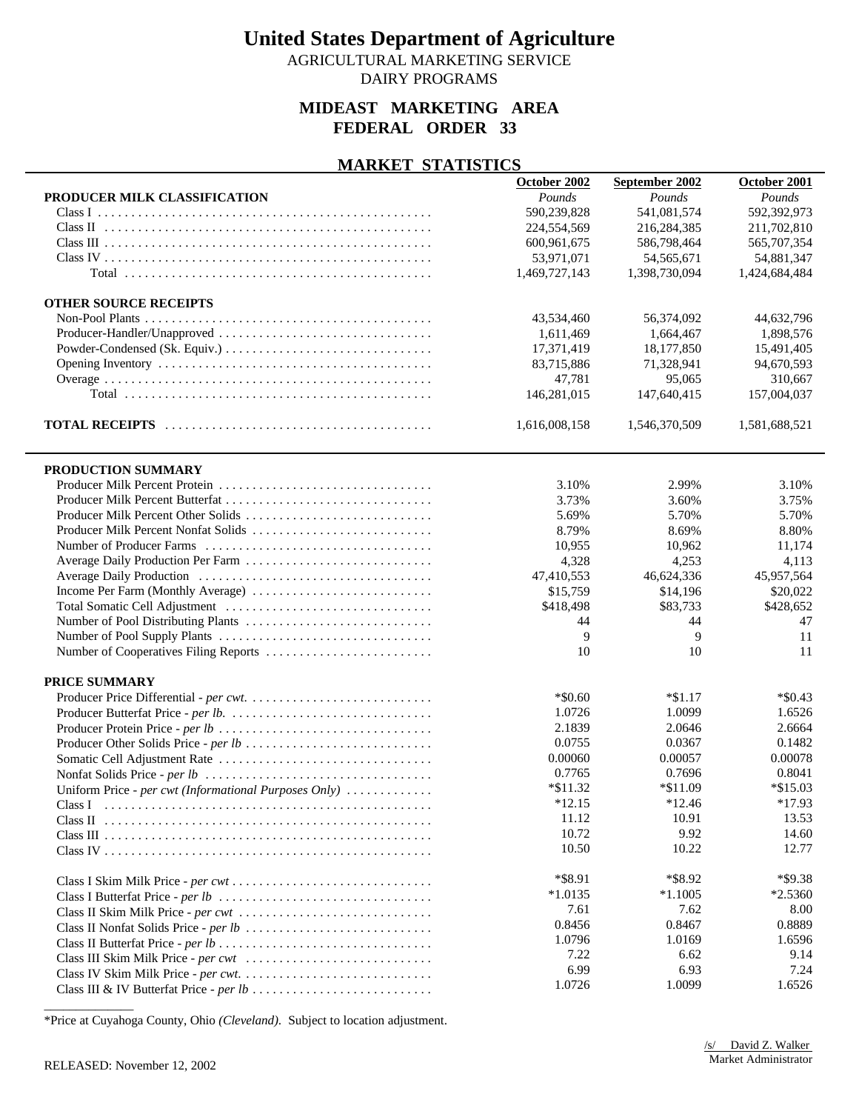AGRICULTURAL MARKETING SERVICE DAIRY PROGRAMS

### **MIDEAST MARKETING AREA FEDERAL ORDER 33**

#### **MARKET STATISTICS**

|                                                       | October 2002  | September 2002 | October 2001  |
|-------------------------------------------------------|---------------|----------------|---------------|
| PRODUCER MILK CLASSIFICATION                          | Pounds        | Pounds         | Pounds        |
|                                                       | 590,239,828   | 541,081,574    | 592,392,973   |
|                                                       | 224,554,569   | 216,284,385    | 211,702,810   |
|                                                       | 600,961,675   | 586,798,464    | 565,707,354   |
|                                                       | 53,971,071    | 54, 565, 671   | 54,881,347    |
|                                                       | 1,469,727,143 | 1,398,730,094  | 1,424,684,484 |
|                                                       |               |                |               |
| <b>OTHER SOURCE RECEIPTS</b>                          |               |                |               |
|                                                       | 43,534,460    | 56,374,092     | 44,632,796    |
| Producer-Handler/Unapproved                           | 1,611,469     | 1,664,467      | 1,898,576     |
|                                                       | 17,371,419    | 18,177,850     | 15,491,405    |
|                                                       | 83,715,886    | 71,328,941     | 94,670,593    |
|                                                       | 47,781        | 95,065         | 310,667       |
|                                                       | 146,281,015   | 147,640,415    | 157,004,037   |
|                                                       |               |                |               |
|                                                       | 1,616,008,158 | 1,546,370,509  | 1,581,688,521 |
| PRODUCTION SUMMARY                                    |               |                |               |
|                                                       | 3.10%         | 2.99%          | 3.10%         |
|                                                       | 3.73%         | 3.60%          | 3.75%         |
|                                                       | 5.69%         | 5.70%          | 5.70%         |
|                                                       | 8.79%         | 8.69%          | 8.80%         |
|                                                       |               | 10.962         |               |
|                                                       | 10,955        |                | 11,174        |
| Average Daily Production Per Farm                     | 4,328         | 4,253          | 4,113         |
|                                                       | 47,410,553    | 46,624,336     | 45,957,564    |
|                                                       | \$15,759      | \$14,196       | \$20,022      |
|                                                       | \$418,498     | \$83,733       | \$428,652     |
|                                                       | 44            | 44             | 47            |
|                                                       | 9             | 9              | 11            |
| Number of Cooperatives Filing Reports                 | 10            | 10             | 11            |
| PRICE SUMMARY                                         |               |                |               |
|                                                       | $*$ \$0.60    | $*\$1.17$      | $*$ \$0.43    |
|                                                       | 1.0726        | 1.0099         | 1.6526        |
|                                                       | 2.1839        | 2.0646         | 2.6664        |
| Producer Other Solids Price - per lb                  | 0.0755        | 0.0367         | 0.1482        |
|                                                       | 0.00060       | 0.00057        | 0.00078       |
|                                                       | 0.7765        | 0.7696         | 0.8041        |
| Uniform Price - per cwt (Informational Purposes Only) | $*\$11.32$    | $*\$11.09$     | $*\$15.03$    |
| Class I                                               | $*12.15$      | $*12.46$       | $*17.93$      |
|                                                       | 11.12         | 10.91          | 13.53         |
|                                                       | 10.72         | 9.92           | 14.60         |
|                                                       | 10.50         | 10.22          | 12.77         |
|                                                       |               |                |               |
|                                                       | *\$8.91       | *\$8.92        | *\$9.38       |
|                                                       | $*1.0135$     | $*1.1005$      | $*2.5360$     |
|                                                       | 7.61          | 7.62           | 8.00          |
|                                                       | 0.8456        | 0.8467         | 0.8889        |
|                                                       | 1.0796        | 1.0169         | 1.6596        |
|                                                       | 7.22          | 6.62           | 9.14          |
|                                                       | 6.99          | 6.93           | 7.24          |
|                                                       | 1.0726        | 1.0099         | 1.6526        |
|                                                       |               |                |               |

\*Price at Cuyahoga County, Ohio *(Cleveland)*. Subject to location adjustment.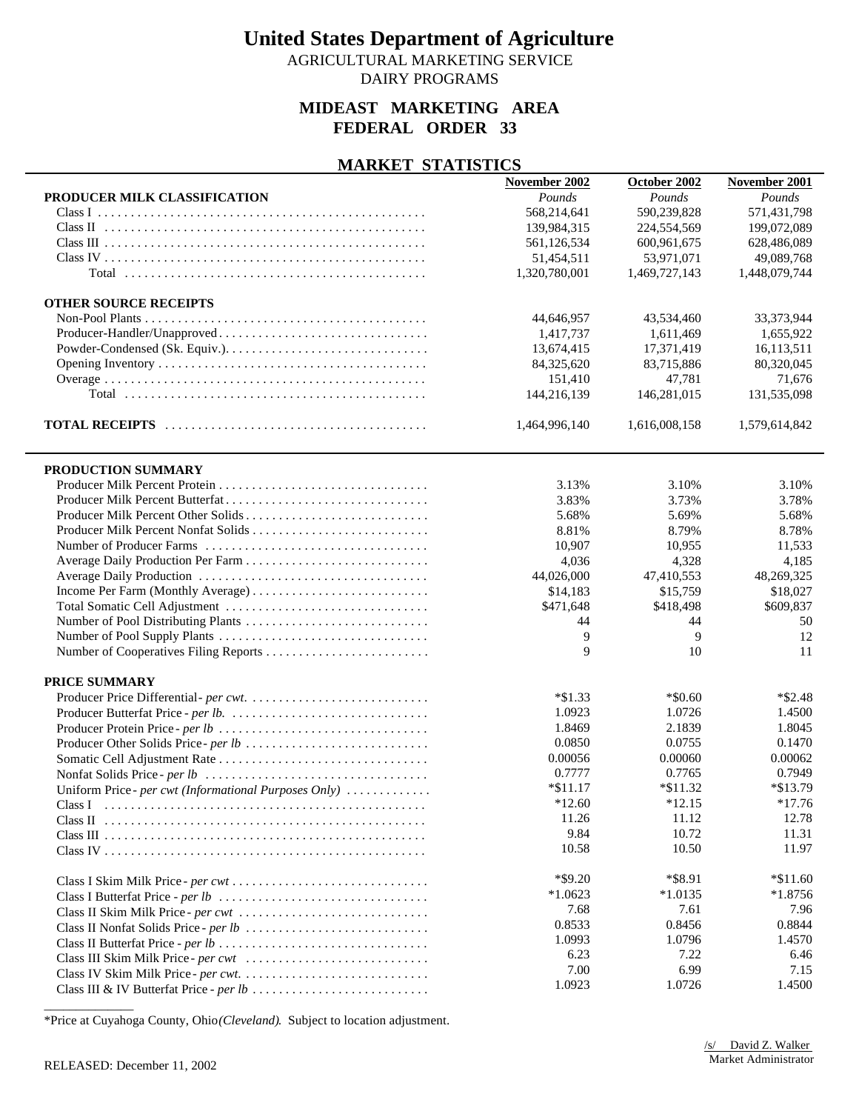AGRICULTURAL MARKETING SERVICE DAIRY PROGRAMS

### **MIDEAST MARKETING AREA FEDERAL ORDER 33**

#### **MARKET STATISTICS**

|                                                       | November 2002 | October 2002  | November 2001 |
|-------------------------------------------------------|---------------|---------------|---------------|
| PRODUCER MILK CLASSIFICATION                          | Pounds        | Pounds        | Pounds        |
|                                                       | 568,214,641   | 590,239,828   | 571,431,798   |
|                                                       | 139,984,315   | 224,554,569   | 199,072,089   |
|                                                       | 561,126,534   | 600,961,675   | 628,486,089   |
|                                                       | 51,454,511    | 53,971,071    | 49,089,768    |
|                                                       | 1,320,780,001 | 1,469,727,143 | 1,448,079,744 |
| <b>OTHER SOURCE RECEIPTS</b>                          |               |               |               |
|                                                       | 44,646,957    | 43,534,460    | 33,373,944    |
| Producer-Handler/Unapproved                           | 1,417,737     | 1,611,469     | 1,655,922     |
|                                                       | 13,674,415    | 17,371,419    | 16,113,511    |
|                                                       | 84,325,620    | 83,715,886    | 80,320,045    |
|                                                       | 151,410       | 47,781        | 71,676        |
|                                                       | 144,216,139   | 146,281,015   | 131,535,098   |
|                                                       | 1,464,996,140 | 1,616,008,158 | 1,579,614,842 |
| PRODUCTION SUMMARY                                    |               |               |               |
|                                                       | 3.13%         | 3.10%         | 3.10%         |
|                                                       | 3.83%         | 3.73%         | 3.78%         |
| Producer Milk Percent Other Solids                    | 5.68%         | 5.69%         | 5.68%         |
|                                                       | 8.81%         | 8.79%         | 8.78%         |
|                                                       | 10,907        | 10,955        | 11,533        |
|                                                       | 4,036         | 4,328         | 4,185         |
|                                                       | 44,026,000    | 47,410,553    | 48,269,325    |
|                                                       | \$14,183      | \$15,759      | \$18,027      |
|                                                       | \$471,648     | \$418,498     | \$609,837     |
|                                                       | 44            | 44            | 50            |
|                                                       | 9             | 9             | 12            |
|                                                       | 9             | 10            | 11            |
| PRICE SUMMARY                                         |               |               |               |
|                                                       | $*\$1.33$     | $*$ \$0.60    | $*$ \$2.48    |
|                                                       | 1.0923        | 1.0726        | 1.4500        |
|                                                       | 1.8469        | 2.1839        | 1.8045        |
|                                                       | 0.0850        | 0.0755        | 0.1470        |
|                                                       | 0.00056       | 0.00060       | 0.00062       |
|                                                       | 0.7777        | 0.7765        | 0.7949        |
| Uniform Price - per cwt (Informational Purposes Only) | $*\$11.17$    | $*\$11.32$    | *\$13.79      |
| Class I                                               | $*12.60$      | $*12.15$      | $*17.76$      |
|                                                       | 11.26         | 11.12         | 12.78         |
|                                                       | 9.84          | 10.72         | 11.31         |
|                                                       | 10.58         | 10.50         | 11.97         |
|                                                       | $*$ \$9.20    | *\$8.91       | $*11.60$      |
|                                                       | $*1.0623$     | $*1.0135$     | $*1.8756$     |
| Class II Skim Milk Price - per cwt                    | 7.68          | 7.61          | 7.96          |
|                                                       | 0.8533        | 0.8456        | 0.8844        |
|                                                       | 1.0993        | 1.0796        | 1.4570        |
|                                                       | 6.23          | 7.22          | 6.46          |
|                                                       | 7.00          | 6.99          | 7.15          |
|                                                       | 1.0923        | 1.0726        | 1.4500        |

\*Price at Cuyahoga County, Ohio *(Cleveland)*. Subject to location adjustment.